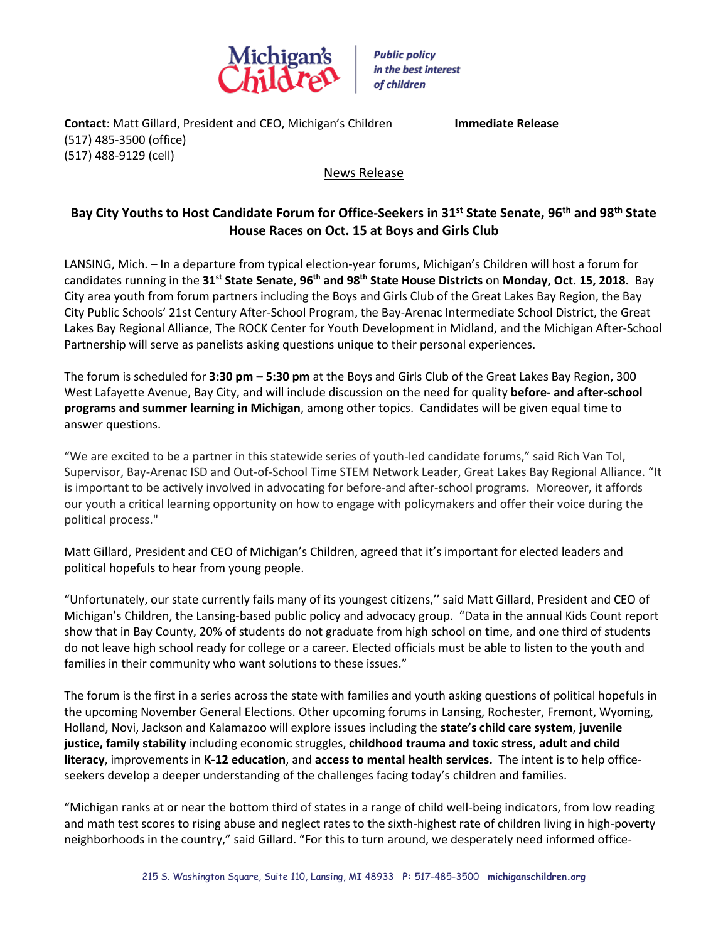

**Contact**: Matt Gillard, President and CEO, Michigan's Children **Immediate Release** (517) 485-3500 (office) (517) 488-9129 (cell)

## News Release

## **Bay City Youths to Host Candidate Forum for Office-Seekers in 31st State Senate, 96th and 98th State House Races on Oct. 15 at Boys and Girls Club**

LANSING, Mich. – In a departure from typical election-year forums, Michigan's Children will host a forum for candidates running in the **31st State Senate**, **96th and 98th State House Districts** on **Monday, Oct. 15, 2018.** Bay City area youth from forum partners including the Boys and Girls Club of the Great Lakes Bay Region, the Bay City Public Schools' 21st Century After-School Program, the Bay-Arenac Intermediate School District, the Great Lakes Bay Regional Alliance, The ROCK Center for Youth Development in Midland, and the Michigan After-School Partnership will serve as panelists asking questions unique to their personal experiences.

The forum is scheduled for **3:30 pm – 5:30 pm** at the Boys and Girls Club of the Great Lakes Bay Region, 300 West Lafayette Avenue, Bay City, and will include discussion on the need for quality **before- and after-school programs and summer learning in Michigan**, among other topics. Candidates will be given equal time to answer questions.

"We are excited to be a partner in this statewide series of youth-led candidate forums," said Rich Van Tol, Supervisor, Bay-Arenac ISD and Out-of-School Time STEM Network Leader, Great Lakes Bay Regional Alliance. "It is important to be actively involved in advocating for before-and after-school programs. Moreover, it affords our youth a critical learning opportunity on how to engage with policymakers and offer their voice during the political process."

Matt Gillard, President and CEO of Michigan's Children, agreed that it's important for elected leaders and political hopefuls to hear from young people.

"Unfortunately, our state currently fails many of its youngest citizens,'' said Matt Gillard, President and CEO of Michigan's Children, the Lansing-based public policy and advocacy group. "Data in the annual Kids Count report show that in Bay County, 20% of students do not graduate from high school on time, and one third of students do not leave high school ready for college or a career. Elected officials must be able to listen to the youth and families in their community who want solutions to these issues."

The forum is the first in a series across the state with families and youth asking questions of political hopefuls in the upcoming November General Elections. Other upcoming forums in Lansing, Rochester, Fremont, Wyoming, Holland, Novi, Jackson and Kalamazoo will explore issues including the **state's child care system**, **juvenile justice, family stability** including economic struggles, **childhood trauma and toxic stress**, **adult and child literacy**, improvements in **K-12 education**, and **access to mental health services.** The intent is to help officeseekers develop a deeper understanding of the challenges facing today's children and families.

"Michigan ranks at or near the bottom third of states in a range of child well-being indicators, from low reading and math test scores to rising abuse and neglect rates to the sixth-highest rate of children living in high-poverty neighborhoods in the country," said Gillard. "For this to turn around, we desperately need informed office